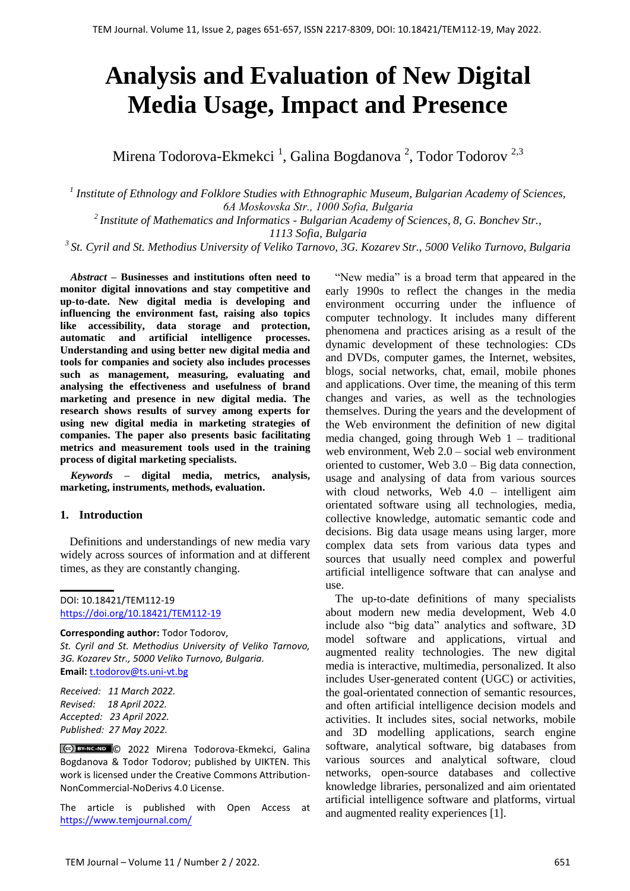# **Analysis and Evaluation of New Digital Media Usage, Impact and Presence**

Mirena Todorova-Ekmekci <sup>1</sup>, Galina Bogdanova <sup>2</sup>, Todor Todorov <sup>2,3</sup>

<sup>1</sup> Institute of Ethnology and Folklore Studies with Ethnographic Museum, Bulgarian Academy of Sciences, *6А Moskovska Str., 1000 Sofia, Bulgaria 2 Institute of Mathematics and Informatics - Bulgarian Academy of Sciences, 8, G. Bonchev Str., 1113 Sofia, Bulgaria <sup>3</sup>St. Cyril and St. Methodius University of Veliko Tarnovo, 3G. Kozarev Str., 5000 Veliko Turnovo, Bulgaria*

*Abstract –* **Businesses and institutions often need to monitor digital innovations and stay competitive and up-to-date. New digital media is developing and influencing the environment fast, raising also topics like accessibility, data storage and protection, automatic and artificial intelligence processes. Understanding and using better new digital media and tools for companies and society also includes processes such as management, measuring, evaluating and analysing the effectiveness and usefulness of brand marketing and presence in new digital media. The research shows results of survey among experts for using new digital media in marketing strategies of companies. The paper also presents basic facilitating metrics and measurement tools used in the training process of digital marketing specialists.** 

*Keywords –* **digital media, metrics, analysis, marketing, instruments, methods, evaluation.** 

#### **1. Introduction**

Definitions and understandings of new media vary widely across sources of information and at different times, as they are constantly changing.

**Corresponding author:** Todor Todorov, *St. Cyril and St. Methodius University of Veliko Tarnovo, 3G. Kozarev Str., 5000 Veliko Turnovo, Bulgaria.*  **Email:** [t.todorov@ts.uni-vt.bg](mailto:t.todorov@ts.uni-vt.bg)

*Received: 11 March 2022. Revised: 18 April 2022. Accepted: 23 April 2022. Published: 27 May 2022.* 

© 2022 Mirena Todorova-Ekmekci, Galina Bogdanova & Todor Todorov; published by UIKTEN. This work is licensed under the Creative Commons Attribution-NonCommercial-NoDerivs 4.0 License.

The article is published with Open Access at <https://www.temjournal.com/>

"New media" is a broad term that appeared in the early 1990s to reflect the changes in the media environment occurring under the influence of computer technology. It includes many different phenomena and practices arising as a result of the dynamic development of these technologies: CDs and DVDs, computer games, the Internet, websites, blogs, social networks, chat, email, mobile phones and applications. Over time, the meaning of this term changes and varies, as well as the technologies themselves. During the years and the development of the Web environment the definition of new digital media changed, going through Web 1 – traditional web environment, Web 2.0 – social web environment oriented to customer, Web 3.0 – Big data connection, usage and analysing of data from various sources with cloud networks, Web 4.0 – intelligent aim orientated software using all technologies, media, collective knowledge, automatic semantic code and decisions. Big data usage means using larger, more complex data sets from various data types and sources that usually need complex and powerful artificial intelligence software that can analyse and use.

The up-to-date definitions of many specialists about modern new media development, Web 4.0 include also "big data" analytics and software, 3D model software and applications, virtual and augmented reality technologies. The new digital media is interactive, multimedia, personalized. It also includes User-generated content (UGC) or activities, the goal-orientated connection of semantic resources, and often artificial intelligence decision models and activities. It includes sites, social networks, mobile and 3D modelling applications, search engine software, analytical software, big databases from various sources and analytical software, cloud networks, open-source databases and collective knowledge libraries, personalized and aim orientated artificial intelligence software and platforms, virtual and augmented reality experiences [1].

DOI: 10.18421/TEM112-19 [https://doi.org/10.18421/TEM112](https://doi.org/10.18421/TEM112-19)-19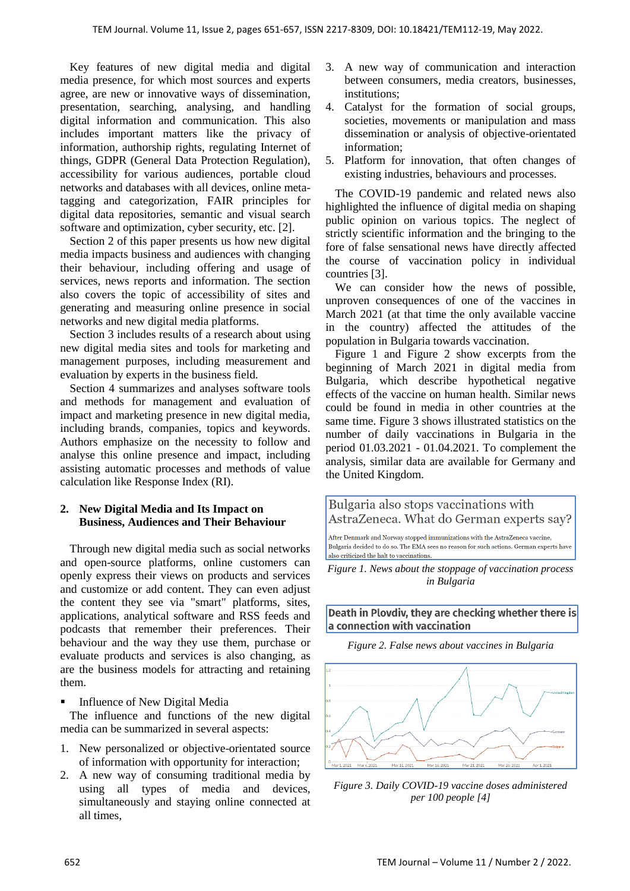Key features of new digital media and digital media presence, for which most sources and experts agree, are new or innovative ways of dissemination, presentation, searching, analysing, and handling digital information and communication. This also includes important matters like the privacy of information, authorship rights, regulating Internet of things, GDPR (General Data Protection Regulation), accessibility for various audiences, portable cloud networks and databases with all devices, online metatagging and categorization, FAIR principles for digital data repositories, semantic and visual search software and optimization, cyber security, etc. [2].

Section 2 of this paper presents us how new digital media impacts business and audiences with changing their behaviour, including offering and usage of services, news reports and information. The section also covers the topic of accessibility of sites and generating and measuring online presence in social networks and new digital media platforms.

Section 3 includes results of a research about using new digital media sites and tools for marketing and management purposes, including measurement and evaluation by experts in the business field.

Section 4 summarizes and analyses software tools and methods for management and evaluation of impact and marketing presence in new digital media, including brands, companies, topics and keywords. Authors emphasize on the necessity to follow and analyse this online presence and impact, including assisting automatic processes and methods of value calculation like Response Index (RI).

## **2. New Digital Media and Its Impact on Business, Audiences and Their Behaviour**

Through new digital media such as social networks and open-source platforms, online customers can openly express their views on products and services and customize or add content. They can even adjust the content they see via "smart" platforms, sites, applications, analytical software and RSS feeds and podcasts that remember their preferences. Their behaviour and the way they use them, purchase or evaluate products and services is also changing, as are the business models for attracting and retaining them.

**Influence of New Digital Media** 

The influence and functions of the new digital media can be summarized in several aspects:

- 1. New personalized or objective-orientated source of information with opportunity for interaction;
- 2. A new way of consuming traditional media by using all types of media and devices, simultaneously and staying online connected at all times,
- 3. A new way of communication and interaction between consumers, media creators, businesses, institutions;
- 4. Catalyst for the formation of social groups, societies, movements or manipulation and mass dissemination or analysis of objective-orientated information;
- 5. Platform for innovation, that often changes of existing industries, behaviours and processes.

The COVID-19 pandemic and related news also highlighted the influence of digital media on shaping public opinion on various topics. The neglect of strictly scientific information and the bringing to the fore of false sensational news have directly affected the course of vaccination policy in individual countries [3].

We can consider how the news of possible, unproven consequences of one of the vaccines in March 2021 (at that time the only available vaccine in the country) affected the attitudes of the population in Bulgaria towards vaccination.

Figure 1 and Figure 2 show excerpts from the beginning of March 2021 in digital media from Bulgaria, which describe hypothetical negative effects of the vaccine on human health. Similar news could be found in media in other countries at the same time. Figure 3 shows illustrated statistics on the number of daily vaccinations in Bulgaria in the period 01.03.2021 - 01.04.2021. To complement the analysis, similar data are available for Germany and the United Kingdom.

Bulgaria also stops vaccinations with AstraZeneca. What do German experts say?

After Denmark and Norway stopped immunizations with the AstraZeneca vaccine, Bulgaria decided to do so. The EMA sees no reason for such actions. German experts have also criticized the halt to vaccinations

*Figure 1. News about the stoppage of vaccination process in Bulgaria*

Death in Plovdiv, they are checking whether there is a connection with vaccination

*Figure 2. False news about vaccines in Bulgaria*



*Figure 3. Daily COVID-19 vaccine doses administered per 100 people [4]*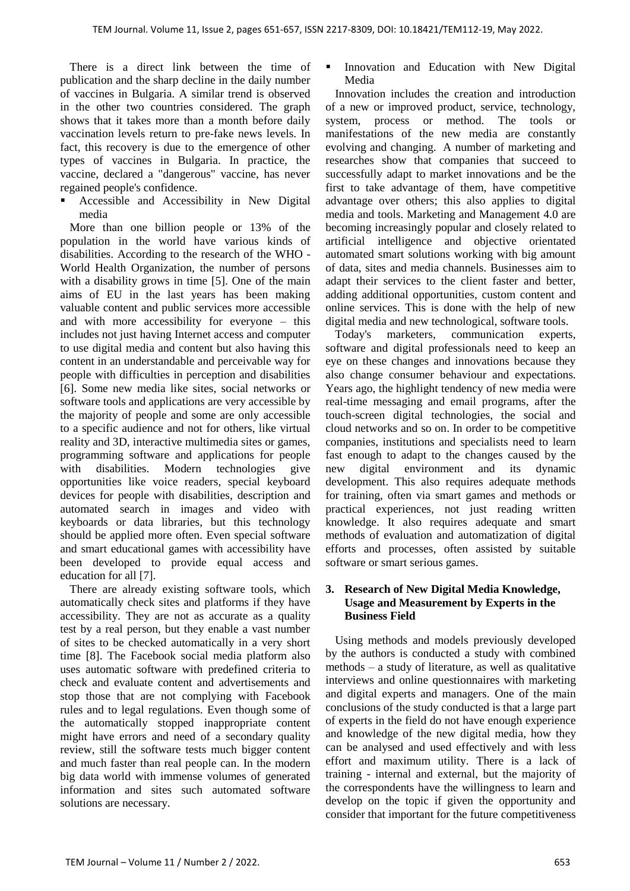There is a direct link between the time of publication and the sharp decline in the daily number of vaccines in Bulgaria. A similar trend is observed in the other two countries considered. The graph shows that it takes more than a month before daily vaccination levels return to pre-fake news levels. In fact, this recovery is due to the emergence of other types of vaccines in Bulgaria. In practice, the vaccine, declared a "dangerous" vaccine, has never regained people's confidence.

 Accessible and Accessibility in New Digital media

More than one billion people or 13% of the population in the world have various kinds of disabilities. According to the research of the WHO - World Health Organization, the number of persons with a disability grows in time [5]. One of the main aims of EU in the last years has been making valuable content and public services more accessible and with more accessibility for everyone – this includes not just having Internet access and computer to use digital media and content but also having this content in an understandable and perceivable way for people with difficulties in perception and disabilities [6]. Some new media like sites, social networks or software tools and applications are very accessible by the majority of people and some are only accessible to a specific audience and not for others, like virtual reality and 3D, interactive multimedia sites or games, programming software and applications for people with disabilities. Modern technologies give opportunities like voice readers, special keyboard devices for people with disabilities, description and automated search in images and video with keyboards or data libraries, but this technology should be applied more often. Even special software and smart educational games with accessibility have been developed to provide equal access and education for all [7].

There are already existing software tools, which automatically check sites and platforms if they have accessibility. They are not as accurate as a quality test by a real person, but they enable a vast number of sites to be checked automatically in a very short time [8]. The Facebook social media platform also uses automatic software with predefined criteria to check and evaluate content and advertisements and stop those that are not complying with Facebook rules and to legal regulations. Even though some of the automatically stopped inappropriate content might have errors and need of a secondary quality review, still the software tests much bigger content and much faster than real people can. In the modern big data world with immense volumes of generated information and sites such automated software solutions are necessary.

 Innovation and Education with New Digital Media

Innovation includes the creation and introduction of a new or improved product, service, technology, system, process or method. The tools or manifestations of the new media are constantly evolving and changing. A number of marketing and researches show that companies that succeed to successfully adapt to market innovations and be the first to take advantage of them, have competitive advantage over others; this also applies to digital media and tools. Marketing and Management 4.0 are becoming increasingly popular and closely related to artificial intelligence and objective orientated automated smart solutions working with big amount of data, sites and media channels. Businesses aim to adapt their services to the client faster and better, adding additional opportunities, custom content and online services. This is done with the help of new digital media and new technological, software tools.

Today's marketers, communication experts, software and digital professionals need to keep an eye on these changes and innovations because they also change consumer behaviour and expectations. Years ago, the highlight tendency of new media were real-time messaging and email programs, after the touch-screen digital technologies, the social and cloud networks and so on. In order to be competitive companies, institutions and specialists need to learn fast enough to adapt to the changes caused by the new digital environment and its dynamic development. This also requires adequate methods for training, often via smart games and methods or practical experiences, not just reading written knowledge. It also requires adequate and smart methods of evaluation and automatization of digital efforts and processes, often assisted by suitable software or smart serious games.

## **3. Research of New Digital Media Knowledge, Usage and Measurement by Experts in the Business Field**

Using methods and models previously developed by the authors is conducted a study with combined methods – a study of literature, as well as qualitative interviews and online questionnaires with marketing and digital experts and managers. One of the main conclusions of the study conducted is that a large part of experts in the field do not have enough experience and knowledge of the new digital media, how they can be analysed and used effectively and with less effort and maximum utility. There is a lack of training - internal and external, but the majority of the correspondents have the willingness to learn and develop on the topic if given the opportunity and consider that important for the future competitiveness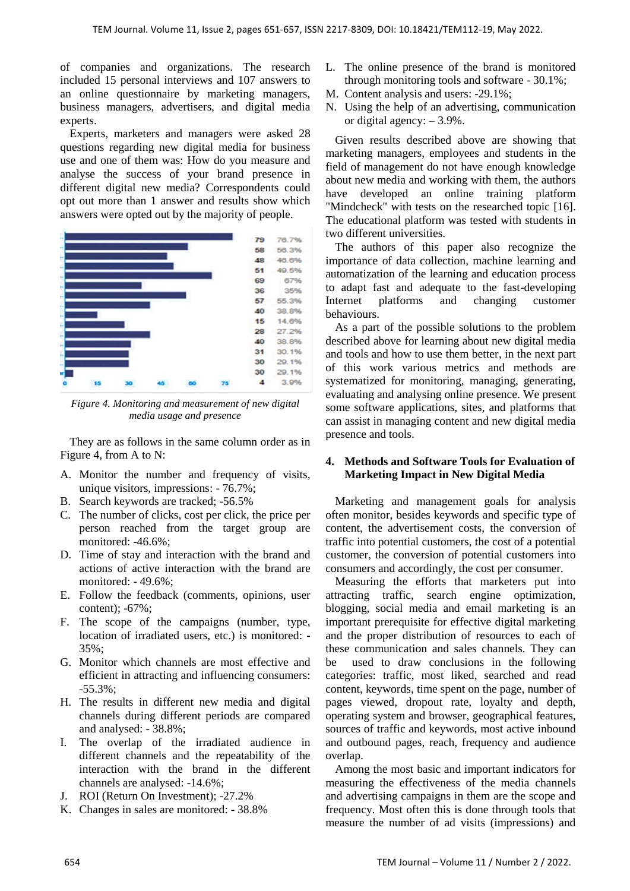of companies and organizations. The research included 15 personal interviews and 107 answers to an online questionnaire by marketing managers, business managers, advertisers, and digital media experts.

Experts, marketers and managers were asked 28 questions regarding new digital media for business use and one of them was: How do you measure and analyse the success of your brand presence in different digital new media? Correspondents could opt out more than 1 answer and results show which answers were opted out by the majority of people.



*Figure 4. Monitoring and measurement of new digital media usage and presence*

They are as follows in the same column order as in Figure 4, from A to N:

- A. Monitor the number and frequency of visits, unique visitors, impressions: - 76.7%;
- B. Search keywords are tracked; -56.5%
- C. The number of clicks, cost per click, the price per person reached from the target group are monitored: -46.6%;
- D. Time of stay and interaction with the brand and actions of active interaction with the brand are monitored: - 49.6%;
- E. Follow the feedback (comments, opinions, user content); -67%;
- F. The scope of the campaigns (number, type, location of irradiated users, etc.) is monitored: - 35%;
- G. Monitor which channels are most effective and efficient in attracting and influencing consumers: -55.3%;
- H. The results in different new media and digital channels during different periods are compared and analysed: - 38.8%;
- I. The overlap of the irradiated audience in different channels and the repeatability of the interaction with the brand in the different channels are analysed: -14.6%;
- J. ROI (Return On Investment); -27.2%
- K. Changes in sales are monitored: 38.8%
- L. The online presence of the brand is monitored through monitoring tools and software - 30.1%;
- M. Content analysis and users: -29.1%;
- N. Using the help of an advertising, communication or digital agency:  $-3.9\%$ .

Given results described above are showing that marketing managers, employees and students in the field of management do not have enough knowledge about new media and working with them, the authors have developed an online training platform "Mindcheck" with tests on the researched topic [16]. The educational platform was tested with students in two different universities.

The authors of this paper also recognize the importance of data collection, machine learning and automatization of the learning and education process to adapt fast and adequate to the fast-developing Internet platforms and changing customer behaviours.

As a part of the possible solutions to the problem described above for learning about new digital media and tools and how to use them better, in the next part of this work various metrics and methods are systematized for monitoring, managing, generating, evaluating and analysing online presence. We present some software applications, sites, and platforms that can assist in managing content and new digital media presence and tools.

## **4. Methods and Software Tools for Evaluation of Marketing Impact in New Digital Media**

Marketing and management goals for analysis often monitor, besides keywords and specific type of content, the advertisement costs, the conversion of traffic into potential customers, the cost of a potential customer, the conversion of potential customers into consumers and accordingly, the cost per consumer.

Measuring the efforts that marketers put into attracting traffic, search engine optimization, blogging, social media and email marketing is an important prerequisite for effective digital marketing and the proper distribution of resources to each of these communication and sales channels. They can be used to draw conclusions in the following categories: traffic, most liked, searched and read content, keywords, time spent on the page, number of pages viewed, dropout rate, loyalty and depth, operating system and browser, geographical features, sources of traffic and keywords, most active inbound and outbound pages, reach, frequency and audience overlap.

Among the most basic and important indicators for measuring the effectiveness of the media channels and advertising campaigns in them are the scope and frequency. Most often this is done through tools that measure the number of ad visits (impressions) and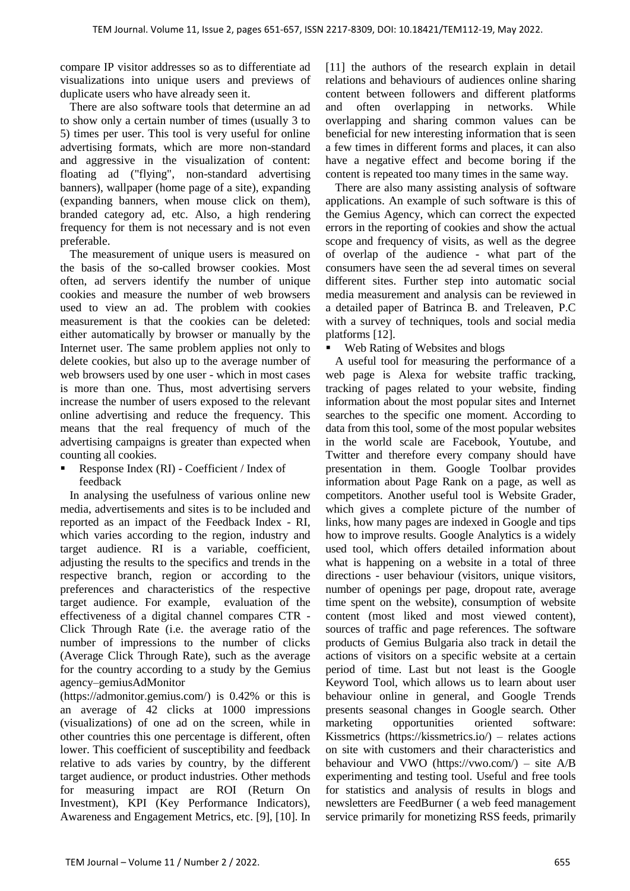compare IP visitor addresses so as to differentiate ad visualizations into unique users and previews of duplicate users who have already seen it.

There are also software tools that determine an ad to show only a certain number of times (usually 3 to 5) times per user. This tool is very useful for online advertising formats, which are more non-standard and aggressive in the visualization of content: floating ad ("flying", non-standard advertising banners), wallpaper (home page of a site), expanding (expanding banners, when mouse click on them), branded category ad, etc. Also, a high rendering frequency for them is not necessary and is not even preferable.

The measurement of unique users is measured on the basis of the so-called browser cookies. Most often, ad servers identify the number of unique cookies and measure the number of web browsers used to view an ad. The problem with cookies measurement is that the cookies can be deleted: either automatically by browser or manually by the Internet user. The same problem applies not only to delete cookies, but also up to the average number of web browsers used by one user - which in most cases is more than one. Thus, most advertising servers increase the number of users exposed to the relevant online advertising and reduce the frequency. This means that the real frequency of much of the advertising campaigns is greater than expected when counting all cookies.

 Response Index (RI) - Coefficient / Index of feedback

In analysing the usefulness of various online new media, advertisements and sites is to be included and reported as an impact of the Feedback Index - RI, which varies according to the region, industry and target audience. RI is a variable, coefficient, adjusting the results to the specifics and trends in the respective branch, region or according to the preferences and characteristics of the respective target audience. For example, evaluation of the effectiveness of a digital channel compares CTR - Click Through Rate (i.e. the average ratio of the number of impressions to the number of clicks (Average Click Through Rate), such as the average for the country according to a study by the Gemius agency–gemiusAdMonitor

(https://admonitor.gemius.com/) is 0.42% or this is an average of 42 clicks at 1000 impressions (visualizations) of one ad on the screen, while in other countries this one percentage is different, often lower. This coefficient of susceptibility and feedback relative to ads varies by country, by the different target audience, or product industries. Other methods for measuring impact are ROI (Return On Investment), KPI (Key Performance Indicators), Awareness and Engagement Metrics, etc. [9], [10]. In [11] the authors of the research explain in detail relations and behaviours of audiences online sharing content between followers and different platforms and often overlapping in networks. While overlapping and sharing common values can be beneficial for new interesting information that is seen a few times in different forms and places, it can also have a negative effect and become boring if the content is repeated too many times in the same way.

There are also many assisting analysis of software applications. An example of such software is this of the Gemius Agency, which can correct the expected errors in the reporting of cookies and show the actual scope and frequency of visits, as well as the degree of overlap of the audience - what part of the consumers have seen the ad several times on several different sites. Further step into automatic social media measurement and analysis can be reviewed in a detailed paper of Batrinca B. and Treleaven, P.C with a survey of techniques, tools and social media platforms [12].

Web Rating of Websites and blogs

A useful tool for measuring the performance of a web page is Alexa for website traffic tracking, tracking of pages related to your website, finding information about the most popular sites and Internet searches to the specific one moment. According to data from this tool, some of the most popular websites in the world scale are Facebook, Youtube, and Twitter and therefore every company should have presentation in them. Google Toolbar provides information about Page Rank on a page, as well as competitors. Another useful tool is Website Grader, which gives a complete picture of the number of links, how many pages are indexed in Google and tips how to improve results. Google Analytics is a widely used tool, which offers detailed information about what is happening on a website in a total of three directions - user behaviour (visitors, unique visitors, number of openings per page, dropout rate, average time spent on the website), consumption of website content (most liked and most viewed content), sources of traffic and page references. The software products of Gemius Bulgaria also track in detail the actions of visitors on a specific website at a certain period of time. Last but not least is the Google Keyword Tool, which allows us to learn about user behaviour online in general, and Google Trends presents seasonal changes in Google search. Other marketing opportunities oriented software: Kissmetrics (https://kissmetrics.io/) – relates actions on site with customers and their characteristics and behaviour and VWO (https://vwo.com/) – site A/B experimenting and testing tool. Useful and free tools for statistics and analysis of results in blogs and newsletters are FeedBurner ( a web feed management service primarily for monetizing RSS feeds, primarily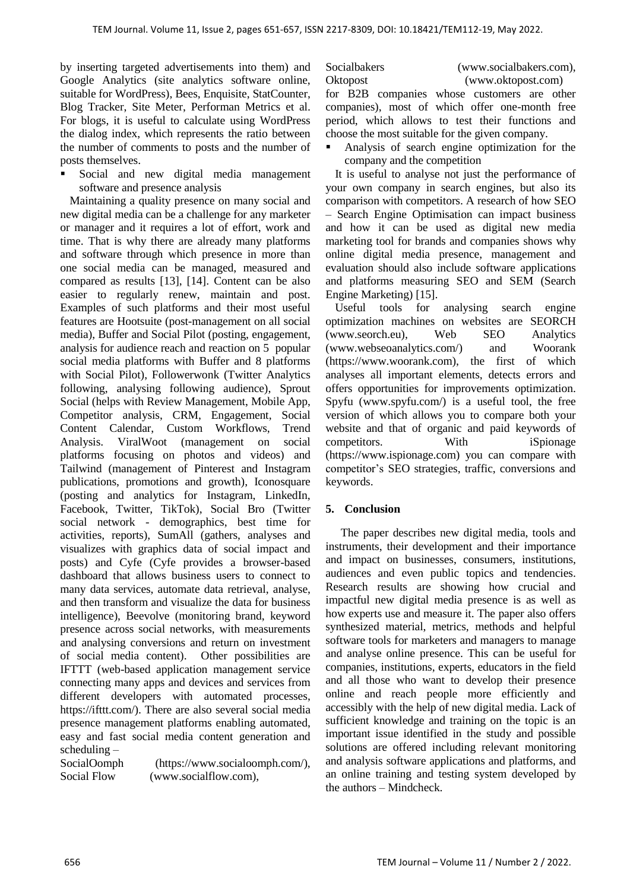by inserting targeted advertisements into them) and Google Analytics (site analytics software online, suitable for WordPress), Bees, Enquisite, StatCounter, Blog Tracker, Site Meter, Performan Metrics et al. For blogs, it is useful to calculate using WordPress the dialog index, which represents the ratio between the number of comments to posts and the number of posts themselves.

 Social and new digital media management software and presence analysis

Maintaining a quality presence on many social and new digital media can be a challenge for any marketer or manager and it requires a lot of effort, work and time. That is why there are already many platforms and software through which presence in more than one social media can be managed, measured and compared as results [13], [14]. Content can be also easier to regularly renew, maintain and post. Examples of such platforms and their most useful features are Hootsuite (post-management on all social media), Buffer and Social Pilot (posting, engagement, analysis for audience reach and reaction on 5 popular social media platforms with Buffer and 8 platforms with Social Pilot), Followerwonk (Twitter Analytics following, analysing following audience), Sprout Social (helps with Review Management, Mobile App, Competitor analysis, CRM, Engagement, Social Content Calendar, Custom Workflows, Trend Analysis. ViralWoot (management on social platforms focusing on photos and videos) and Tailwind (management of Pinterest and Instagram publications, promotions and growth), Iconosquare (posting and analytics for Instagram, LinkedIn, Facebook, Twitter, TikTok), Social Bro (Twitter social network - demographics, best time for activities, reports), SumAll (gathers, analyses and visualizes with graphics data of social impact and posts) and Cyfe (Cyfe provides a browser-based dashboard that allows business users to connect to many data services, automate data retrieval, analyse, and then transform and visualize the data for business intelligence), Beevolve (monitoring brand, keyword presence across social networks, with measurements and analysing conversions and return on investment of social media content). Other possibilities are IFTTT (web-based application management service connecting many apps and devices and services from different developers with automated processes, https://ifttt.com/). There are also several social media presence management platforms enabling automated, easy and fast social media content generation and scheduling –

SocialOomph (https://www.socialoomph.com/), Social Flow (www.socialflow.com),

Socialbakers (www.socialbakers.com), Oktopost (www.oktopost.com)

for B2B companies whose customers are other companies), most of which offer one-month free period, which allows to test their functions and choose the most suitable for the given company.

 Analysis of search engine optimization for the company and the competition

It is useful to analyse not just the performance of your own company in search engines, but also its comparison with competitors. A research of how SEO – Search Engine Optimisation can impact business and how it can be used as digital new media marketing tool for brands and companies shows why online digital media presence, management and evaluation should also include software applications and platforms measuring SEO and SEM (Search Engine Marketing) [15].

Useful tools for analysing search engine optimization machines on websites are SEORCH (www.seorch.eu), Web SEO Analytics (www.webseoanalytics.com/) and Woorank (https://www.woorank.com), the first of which analyses all important elements, detects errors and offers opportunities for improvements optimization. Spyfu (www.spyfu.com/) is a useful tool, the free version of which allows you to compare both your website and that of organic and paid keywords of competitors. With iSpionage (https://www.ispionage.com) you can compare with competitor's SEO strategies, traffic, conversions and keywords.

## **5. Conclusion**

The paper describes new digital media, tools and instruments, their development and their importance and impact on businesses, consumers, institutions, audiences and even public topics and tendencies. Research results are showing how crucial and impactful new digital media presence is as well as how experts use and measure it. The paper also offers synthesized material, metrics, methods and helpful software tools for marketers and managers to manage and analyse online presence. This can be useful for companies, institutions, experts, educators in the field and all those who want to develop their presence online and reach people more efficiently and accessibly with the help of new digital media. Lack of sufficient knowledge and training on the topic is an important issue identified in the study and possible solutions are offered including relevant monitoring and analysis software applications and platforms, and an online training and testing system developed by the authors – Mindcheck.